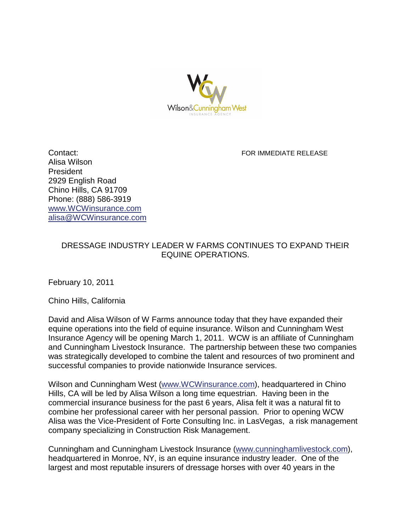

**Contact: FOR IMMEDIATE RELEASE Alisa Wilson President 2929 English Road Chino Hills, CA 91709 Phone: (888) 586-3919 [www.WCWinsurance.com](http://www.wcwinsurance.com/) [alisa@WCWinsurance.com](mailto:alisa@WWinsurance.com)**

## **DRESSAGE INDUSTRY LEADER W FARMS CONTINUES TO EXPAND THEIR EQUINE OPERATIONS.**

**February 10, 2011**

**Chino Hills, California**

**David and Alisa Wilson of W Farms announce today that they have expanded their equine operations into the field of equine insurance. Wilson and Cunningham West Insurance Agency will be opening March 1, 2011. WCW is an affiliate of Cunningham and Cunningham Livestock Insurance. The partnership between these two companies was strategically developed to combine the talent and resources of two prominent and successful companies to provide nationwide Insurance services.** 

**Wilson and Cunningham West [\(www.WCWinsurance.com\)](http://www.wcwinsurance.com/), headquartered in Chino Hills, CA will be led by Alisa Wilson a long time equestrian. Having been in the commercial insurance business for the past 6 years, Alisa felt it was a natural fit to combine her professional career with her personal passion. Prior to opening WCW Alisa was the Vice-President of Forte Consulting Inc. in LasVegas, a risk management company specializing in Construction Risk Management.**

**Cunningham and Cunningham Livestock Insurance [\(www.cunninghamlivestock.com\)](http://www.cunninghamlivestock.com/), headquartered in Monroe, NY, is an equine insurance industry leader. One of the largest and most reputable insurers of dressage horses with over 40 years in the**